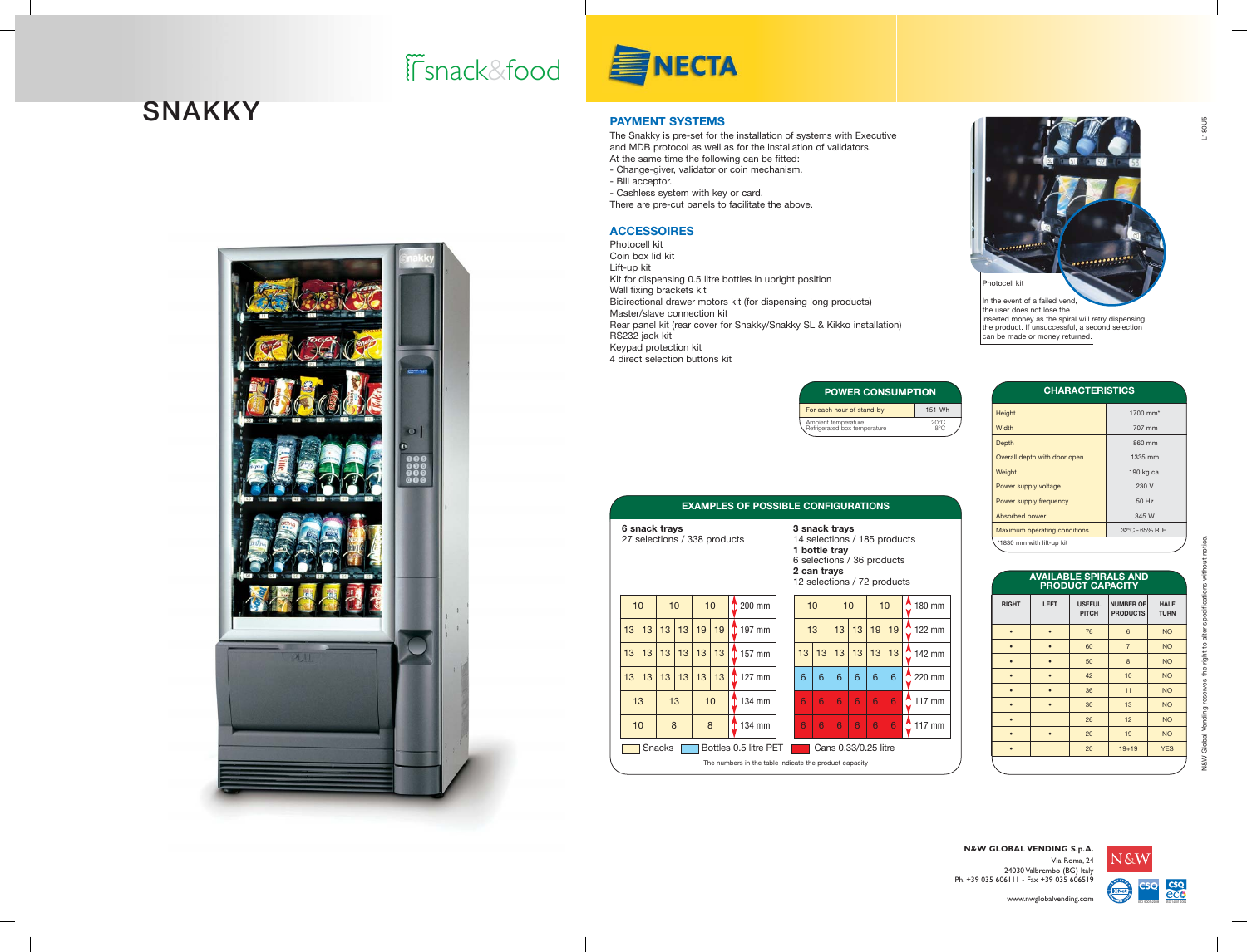## snack&food



#### **PAYMENT SYSTEMS**

The Snakky is pre-set for the installation of systems with Executive and MDB protocol as well as for the installation of validators. At the same time the following can be fitted: - Change-giver, validator or coin mechanism. - Bill acceptor. - Cashless system with key or card. There are pre-cut panels to facilitate the above.

#### **ACCESSOIRES**

Photocell kit Coin box lid kit Lift-up kit Kit for dispensing 0.5 litre bottles in upright position Wall fixing brackets kit Bidirectional drawer motors kit (for dispensing long products) Master/slave connection kit Rear panel kit (rear cover for Snakky/Snakky SL & Kikko installation) RS232 jack kit Keypad protection kit 4 direct selection buttons kit



In the event of a failed vend, the user does not lose the inserted money as the spiral will retry dispensing the product. If unsuccessful, a second selection can be made or money returned.

| <b>CHARACTERISTICS</b>       |                           |
|------------------------------|---------------------------|
| Height                       | 1700 mm <sup>*</sup>      |
| Width                        | 707 mm                    |
| Depth                        | 860 mm                    |
| Overall depth with door open | 1335 mm                   |
| Weight                       | 190 kg ca.                |
| Power supply voltage         | 230 V                     |
| Power supply frequency       | 50 Hz                     |
| Absorbed power               | 345 W                     |
| Maximum operating conditions | $32^{\circ}$ C - 65% R.H. |
| *1830 mm with lift-up kit    |                           |

| <b>AVAILABLE SPIRALS AND</b><br>PRODUCT CAPACITY |             |                               |                                     |                            |  |  |  |  |  |  |
|--------------------------------------------------|-------------|-------------------------------|-------------------------------------|----------------------------|--|--|--|--|--|--|
| <b>RIGHT</b>                                     | <b>LEFT</b> | <b>USEFUL</b><br><b>PITCH</b> | <b>NUMBER OF</b><br><b>PRODUCTS</b> | <b>HALF</b><br><b>TURN</b> |  |  |  |  |  |  |
|                                                  |             | 76                            | 6                                   | <b>NO</b>                  |  |  |  |  |  |  |
| $\bullet$                                        |             | 60                            | $\overline{7}$                      | <b>NO</b>                  |  |  |  |  |  |  |
|                                                  |             | 50                            | 8                                   | <b>NO</b>                  |  |  |  |  |  |  |
|                                                  |             | 42                            | 10                                  | <b>NO</b>                  |  |  |  |  |  |  |
|                                                  |             | 36                            | 11                                  | <b>NO</b>                  |  |  |  |  |  |  |
|                                                  |             | 30                            | 13                                  | <b>NO</b>                  |  |  |  |  |  |  |
|                                                  |             | 26                            | 12                                  | <b>NO</b>                  |  |  |  |  |  |  |
|                                                  |             | 20                            | 19                                  | <b>NO</b>                  |  |  |  |  |  |  |
|                                                  |             | 20                            | $19 + 19$                           | <b>YES</b>                 |  |  |  |  |  |  |

| ə sılacı urays<br>14 selections / 185 products<br>1 bottle tray<br>6 selections / 36 products<br>2 can trays<br>12 selections / 72 products | M<br>$\star$ |                    |    |           |   |                   |  |  |  |  |  |
|---------------------------------------------------------------------------------------------------------------------------------------------|--------------|--------------------|----|-----------|---|-------------------|--|--|--|--|--|
| 10                                                                                                                                          |              | 10<br>10<br>180 mm |    |           |   |                   |  |  |  |  |  |
|                                                                                                                                             | 13           | 13                 | 13 | 19<br>19  |   | $\int$ 122 mm     |  |  |  |  |  |
| 13                                                                                                                                          | 13           | 13                 | 13 | 13 <br>13 |   | $\uparrow$ 142 mm |  |  |  |  |  |
| 6                                                                                                                                           | 6            | 6                  | 6  | 6         | 6 | 220 mm            |  |  |  |  |  |
| 6                                                                                                                                           | 6            | 6                  | 6  | 6<br>6    |   | $\uparrow$ 117 mm |  |  |  |  |  |
| 6                                                                                                                                           | 6            | 6                  | 6  | 6         | 6 | Ω<br>117 mm       |  |  |  |  |  |
| ate the product capacity:                                                                                                                   |              |                    |    |           |   |                   |  |  |  |  |  |

Ambient temperature 20°C<br>Refrigerated box temperature 8°C

**EIGURATIONS** 

**POWER CONSUMPTION** For each hour of stand-by 151 Wh

| <b>EXAMPLES OF POSSIBLE CON</b>                                                                                      |              |    |    |          |    |                   |                   |    |    |    |  |  |
|----------------------------------------------------------------------------------------------------------------------|--------------|----|----|----------|----|-------------------|-------------------|----|----|----|--|--|
| 6 snack trays<br>3 snack<br>27 selections / 338 products<br>14 seleo<br>1 bottle<br>6 select<br>2 can tı<br>12 seleo |              |    |    |          |    |                   |                   |    |    |    |  |  |
| 10                                                                                                                   |              | 10 |    | 10       |    | $\uparrow$ 200 mm |                   | 10 |    |    |  |  |
| 13                                                                                                                   | 13           | 13 | 13 | 19<br>19 |    |                   | $\int$ 197 mm     |    | 13 |    |  |  |
| 13                                                                                                                   | 13           | 13 | 13 | 13       | 13 |                   | 157 mm            |    | 13 | 13 |  |  |
| 13                                                                                                                   | 13           | 13 | 13 | 13       | 13 |                   | $\uparrow$ 127 mm |    | 6  | 6  |  |  |
| 13                                                                                                                   |              | 13 | 10 |          |    | 134 mm            |                   | 6  | 6  |    |  |  |
|                                                                                                                      | 10<br>8<br>8 |    |    |          |    |                   | 134 mm            |    | 6  | 6  |  |  |
| Bottles 0.5 litre PET<br>Snacks<br>.                                                                                 |              |    |    |          |    |                   |                   |    |    | Ca |  |  |

|                |                                                                                                   | snack trays<br>7 selections / 338 products |    | 3 snack trays<br>14 selections<br>1 bottle tray<br>6 selections /<br>2 can trays<br>12 selections, |    |        |        |   |    |    |    |  |
|----------------|---------------------------------------------------------------------------------------------------|--------------------------------------------|----|----------------------------------------------------------------------------------------------------|----|--------|--------|---|----|----|----|--|
| 10<br>10<br>10 |                                                                                                   |                                            |    |                                                                                                    |    |        | 200 mm |   | 10 |    | 10 |  |
| 3              | 13                                                                                                | 13                                         | 13 | 19                                                                                                 | 19 |        | 197 mm |   | 13 |    | 13 |  |
| 3              | 13                                                                                                | 13                                         | 13 | 13                                                                                                 | 13 |        | 157 mm |   | 13 | 13 | 13 |  |
| 3              | 13                                                                                                | 13                                         | 13 | 13                                                                                                 | 13 |        | 127 mm |   | 6  | 6  | 6  |  |
| 13<br>10<br>13 |                                                                                                   |                                            |    |                                                                                                    |    | 134 mm |        | 6 | 6  | 6  |    |  |
| 10             | 8<br>8                                                                                            |                                            |    | 134 mm                                                                                             |    |        | 6      | 6 | 6  |    |    |  |
|                | Bottles 0.5 litre PET<br>Cans 0.33<br>Snacks<br>The numbers in the table indicate the product cap |                                            |    |                                                                                                    |    |        |        |   |    |    |    |  |

|                                                         |    | 10 | 10              |    |  | 200 mm            |  | 10       |   | 10 |    | 10 |    |
|---------------------------------------------------------|----|----|-----------------|----|--|-------------------|--|----------|---|----|----|----|----|
| 13 <sup>2</sup>                                         | 13 | 13 | 19 <sup>1</sup> | 19 |  | $\uparrow$ 197 mm |  | 13       |   | 13 | 13 | 19 | 19 |
| 13 <sup>2</sup>                                         | 13 | 13 | 13              | 13 |  | 157 mm            |  | 13<br>13 |   | 13 | 13 | 13 | 13 |
| 13                                                      | 13 | 13 | 13              | 13 |  | 127 mm<br>Υ       |  | 6<br>6   |   | 6  | 6  | 6  | 6  |
|                                                         |    | 13 | 10              |    |  | 134 mm            |  | 6        | 6 | 6  | 6  | 6  | 6  |
|                                                         |    | 8  | 8               |    |  | 134 mm            |  | 6<br>6   |   | 6  | 6  | 6  | 6  |
| Snacks<br>Bottles 0.5 litre PET<br>Cans 0.33/0.25 litre |    |    |                 |    |  |                   |  |          |   |    |    |    |    |
| The numbers in the table indicate the product capacity  |    |    |                 |    |  |                   |  |          |   |    |    |    |    |
|                                                         |    |    |                 |    |  |                   |  |          |   |    |    |    |    |

# **SNAKKY**





N&W Global Vending reserves the right to alter specifications without notice.

N&W Global Vending reserves the right to alter

**N&W GLOBAL VENDING S.p.A.** Via Roma, 24 24030 Valbrembo (BG) Italy Ph. +39 035 606111 - Fax +39 035 606519

www.nwglobalvending.com